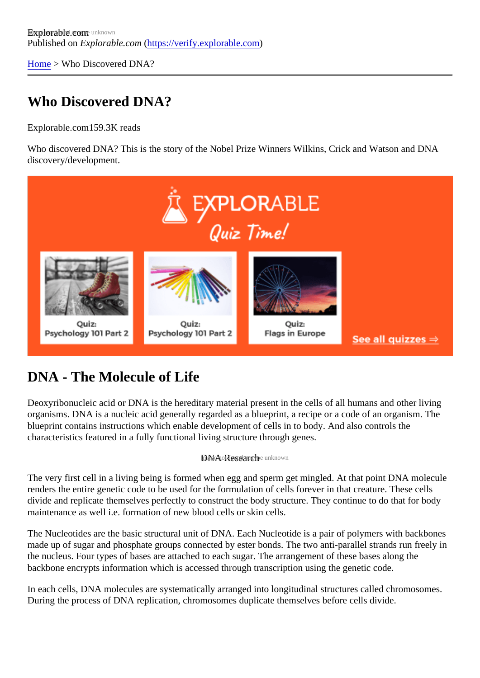[Home](https://verify.explorable.com/)> Who Discovered DNA?

# Who Discovered DNA?

Explorable.com 59.3K reads

Who discovered DNA? This is the story of the Nobel Prize Winners Wilkins, Crick and Watson and DNA discovery/development.

#### DNA - The Molecule of Life

Deoxyribonucleic acid or DNA is the hereditary material present in the cells of all humans and other living organisms. DNA is a nucleic acid generally regarded as a blueprint, a recipe or a code of an organism. The blueprint contains instructions which enable development of cells in to body. And also controls the characteristics featured in a fully functional living structure through genes.

#### DNA Researche unknown

The very first cell in a living being is formed when egg and sperm get mingled. At that point DNA molecule renders the entire genetic code to be used for the formulation of cells forever in that creature. These cells divide and replicate themselves perfectly to construct the body structure. They continue to do that for body maintenance as well i.e. formation of new blood cells or skin cells.

The Nucleotides are the basic structural unit of DNA. Each Nucleotide is a pair of polymers with backbone made up of sugar and phosphate groups connected by ester bonds. The two anti-parallel strands run freel the nucleus. Four types of bases are attached to each sugar. The arrangement of these bases along the backbone encrypts information which is accessed through transcription using the genetic code.

In each cells, DNA molecules are systematically arranged into longitudinal structures called chromosomes. During the process of DNA replication, chromosomes duplicate themselves before cells divide.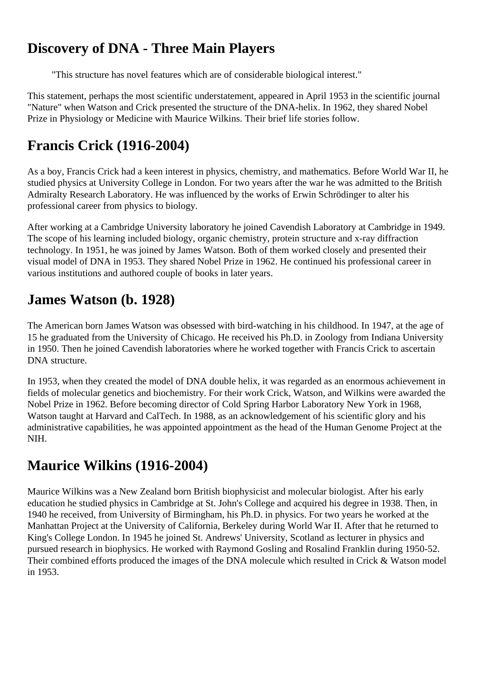#### **Discovery of DNA - Three Main Players**

"This structure has novel features which are of considerable biological interest."

This statement, perhaps the most scientific understatement, appeared in April 1953 in the scientific journal "Nature" when Watson and Crick presented the structure of the DNA-helix. In 1962, they shared Nobel Prize in Physiology or Medicine with Maurice Wilkins. Their brief life stories follow.

# **Francis Crick (1916-2004)**

As a boy, Francis Crick had a keen interest in physics, chemistry, and mathematics. Before World War II, he studied physics at University College in London. For two years after the war he was admitted to the British Admiralty Research Laboratory. He was influenced by the works of Erwin Schrödinger to alter his professional career from physics to biology.

After working at a Cambridge University laboratory he joined Cavendish Laboratory at Cambridge in 1949. The scope of his learning included biology, organic chemistry, protein structure and x-ray diffraction technology. In 1951, he was joined by James Watson. Both of them worked closely and presented their visual model of DNA in 1953. They shared Nobel Prize in 1962. He continued his professional career in various institutions and authored couple of books in later years.

## **James Watson (b. 1928)**

The American born James Watson was obsessed with bird-watching in his childhood. In 1947, at the age of 15 he graduated from the University of Chicago. He received his Ph.D. in Zoology from Indiana University in 1950. Then he joined Cavendish laboratories where he worked together with Francis Crick to ascertain DNA structure.

In 1953, when they created the model of DNA double helix, it was regarded as an enormous achievement in fields of molecular genetics and biochemistry. For their work Crick, Watson, and Wilkins were awarded the Nobel Prize in 1962. Before becoming director of Cold Spring Harbor Laboratory New York in 1968, Watson taught at Harvard and CalTech. In 1988, as an acknowledgement of his scientific glory and his administrative capabilities, he was appointed appointment as the head of the Human Genome Project at the NIH.

# **Maurice Wilkins (1916-2004)**

Maurice Wilkins was a New Zealand born British biophysicist and molecular biologist. After his early education he studied physics in Cambridge at St. John's College and acquired his degree in 1938. Then, in 1940 he received, from University of Birmingham, his Ph.D. in physics. For two years he worked at the Manhattan Project at the University of California, Berkeley during World War II. After that he returned to King's College London. In 1945 he joined St. Andrews' University, Scotland as lecturer in physics and pursued research in biophysics. He worked with Raymond Gosling and Rosalind Franklin during 1950-52. Their combined efforts produced the images of the DNA molecule which resulted in Crick & Watson model in 1953.